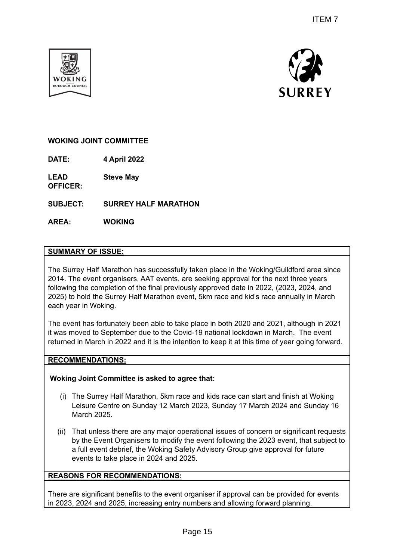



# **WOKING JOINT COMMITTEE**

**DATE: 4 April 2022**

**LEAD OFFICER: Steve May**

**SUBJECT: SURREY HALF MARATHON**

**AREA: WOKING**

### **SUMMARY OF ISSUE:**

The Surrey Half Marathon has successfully taken place in the Woking/Guildford area since 2014. The event organisers, AAT events, are seeking approval for the next three years following the completion of the final previously approved date in 2022, (2023, 2024, and 2025) to hold the Surrey Half Marathon event, 5km race and kid's race annually in March each year in Woking. ITEM 7<br>
ITEM 7<br>
ITEM 7<br>
ITEM 7<br>
SURREY<br>
SURREY<br>
SURREY<br>
SURREY<br>
TEM 2<br>
SURREY<br>
SURREY<br>
SURREY<br>
SURREY<br>
SURREY<br>
SURREY<br>
SURREY<br>
SURREY<br>
SURREY<br>
SURREY<br>
THE SARE AND 2020 and 2021, (2023, 2024, and<br>
ore place in both 2020 an

The event has fortunately been able to take place in both 2020 and 2021, although in 2021 it was moved to September due to the Covid-19 national lockdown in March. The event returned in March in 2022 and it is the intention to keep it at this time of year going forward.

## **RECOMMENDATIONS:**

### **Woking Joint Committee is asked to agree that:**

- (i) The Surrey Half Marathon, 5km race and kids race can start and finish at Woking Leisure Centre on Sunday 12 March 2023, Sunday 17 March 2024 and Sunday 16 March 2025.
- (ii) That unless there are any major operational issues of concern or significant requests by the Event Organisers to modify the event following the 2023 event, that subject to a full event debrief, the Woking Safety Advisory Group give approval for future events to take place in 2024 and 2025.

# **REASONS FOR RECOMMENDATIONS:**

There are significant benefits to the event organiser if approval can be provided for events in 2023, 2024 and 2025, increasing entry numbers and allowing forward planning.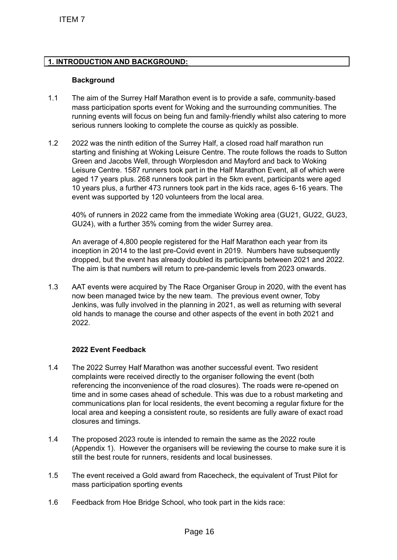## **1. INTRODUCTION AND BACKGROUND:**

#### **Background**

- 1.1 The aim of the Surrey Half Marathon event is to provide a safe, community‐based mass participation sports event for Woking and the surrounding communities. The running events will focus on being fun and family‐friendly whilst also catering to more serious runners looking to complete the course as quickly as possible.
- 1.2 2022 was the ninth edition of the Surrey Half, a closed road half marathon run starting and finishing at Woking Leisure Centre. The route follows the roads to Sutton Green and Jacobs Well, through Worplesdon and Mayford and back to Woking Leisure Centre. 1587 runners took part in the Half Marathon Event, all of which were aged 17 years plus. 268 runners took part in the 5km event, participants were aged 10 years plus, a further 473 runners took part in the kids race, ages 6-16 years. The event was supported by 120 volunteers from the local area. ITEM 7<br>
THE TRODUCTION AND BACKGROUND:<br>
Background<br>
The aim of the Surrey Half Marathon event is<br>
mans participation sports event for Woking<br>
manning events will focus on being fun and tis<br>
serious runners looking to compl

40% of runners in 2022 came from the immediate Woking area (GU21, GU22, GU23, GU24), with a further 35% coming from the wider Surrey area.

An average of 4,800 people registered for the Half Marathon each year from its inception in 2014 to the last pre-Covid event in 2019. Numbers have subsequently dropped, but the event has already doubled its participants between 2021 and 2022. The aim is that numbers will return to pre-pandemic levels from 2023 onwards.

1.3 AAT events were acquired by The Race Organiser Group in 2020, with the event has now been managed twice by the new team. The previous event owner, Toby Jenkins, was fully involved in the planning in 2021, as well as returning with several old hands to manage the course and other aspects of the event in both 2021 and 2022.

### **2022 Event Feedback**

- 1.4 The 2022 Surrey Half Marathon was another successful event. Two resident complaints were received directly to the organiser following the event (both referencing the inconvenience of the road closures). The roads were re-opened on time and in some cases ahead of schedule. This was due to a robust marketing and communications plan for local residents, the event becoming a regular fixture for the local area and keeping a consistent route, so residents are fully aware of exact road closures and timings.
- 1.4 The proposed 2023 route is intended to remain the same as the 2022 route (Appendix 1). However the organisers will be reviewing the course to make sure it is still the best route for runners, residents and local businesses.
- 1.5 The event received a Gold award from Racecheck, the equivalent of Trust Pilot for mass participation sporting events
- 1.6 Feedback from Hoe Bridge School, who took part in the kids race: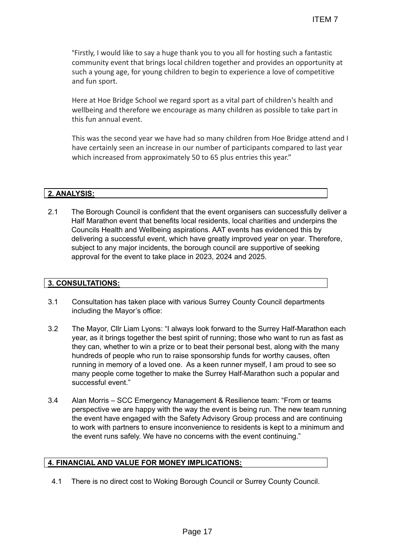"Firstly, I would like to say a huge thank you to you all for hosting such a fantastic community event that brings local children together and provides an opportunity at such a young age, for young children to begin to experience a love of competitive and fun sport.

Here at Hoe Bridge School we regard sport as a vital part of children's health and wellbeing and therefore we encourage as many children as possible to take part in this fun annual event.

This was the second year we have had so many children from Hoe Bridge attend and I have certainly seen an increase in our number of participants compared to last year which increased from approximately 50 to 65 plus entries this year."

## **2. ANALYSIS:**

2.1 The Borough Council is confident that the event organisers can successfully deliver a Half Marathon event that benefits local residents, local charities and underpins the Councils Health and Wellbeing aspirations. AAT events has evidenced this by delivering a successful event, which have greatly improved year on year. Therefore, subject to any major incidents, the borough council are supportive of seeking approval for the event to take place in 2023, 2024 and 2025.

#### **3. CONSULTATIONS:**

- 3.1 Consultation has taken place with various Surrey County Council departments including the Mayor's office:
- 3.2 The Mayor, Cllr Liam Lyons: "I always look forward to the Surrey Half-Marathon each year, as it brings together the best spirit of running; those who want to run as fast as they can, whether to win a prize or to beat their personal best, along with the many hundreds of people who run to raise sponsorship funds for worthy causes, often running in memory of a loved one. As a keen runner myself, I am proud to see so many people come together to make the Surrey Half-Marathon such a popular and successful event." ITEM 7<br>
thank you to you all for hosting such a fantastic<br>
children together and provides an opportunity<br>
en to begin to experience al ove of competitive<br>
and the search of straightering the search of competitive<br>
and as o
- 3.4 Alan Morris SCC Emergency Management & Resilience team: "From or teams perspective we are happy with the way the event is being run. The new team running the event have engaged with the Safety Advisory Group process and are continuing to work with partners to ensure inconvenience to residents is kept to a minimum and the event runs safely. We have no concerns with the event continuing."

# **4. FINANCIAL AND VALUE FOR MONEY IMPLICATIONS:**

4.1 There is no direct cost to Woking Borough Council or Surrey County Council.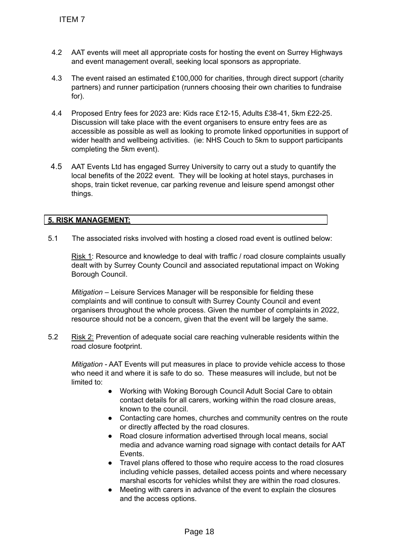- 4.2 AAT events will meet all appropriate costs for hosting the event on Surrey Highways and event management overall, seeking local sponsors as appropriate.
- 4.3 The event raised an estimated £100,000 for charities, through direct support (charity partners) and runner participation (runners choosing their own charities to fundraise for).
- 4.4 Proposed Entry fees for 2023 are: Kids race £12-15, Adults £38-41, 5km £22-25. Discussion will take place with the event organisers to ensure entry fees are as accessible as possible as well as looking to promote linked opportunities in support of wider health and wellbeing activities. (ie: NHS Couch to 5km to support participants completing the 5km event). TTEM 7<br>
2<br>
AAT events will meet all appropriate costs for<br>
and event management overall, seeking loci<br>
The vent raised an estimated £100,000 for<br>
partners) and tunner participation (runners c<br>
for).<br>
Proposed Entry fees fo
- 4.5 AAT Events Ltd has engaged Surrey University to carry out a study to quantify the local benefits of the 2022 event. They will be looking at hotel stays, purchases in shops, train ticket revenue, car parking revenue and leisure spend amongst other things.

## **5. RISK MANAGEMENT:**

5.1 The associated risks involved with hosting a closed road event is outlined below:

Risk 1: Resource and knowledge to deal with traffic / road closure complaints usually dealt with by Surrey County Council and associated reputational impact on Woking Borough Council.

*Mitigation* – Leisure Services Manager will be responsible for fielding these complaints and will continue to consult with Surrey County Council and event organisers throughout the whole process. Given the number of complaints in 2022, resource should not be a concern, given that the event will be largely the same.

5.2 Risk 2: Prevention of adequate social care reaching vulnerable residents within the road closure footprint.

*Mitigation* - AAT Events will put measures in place to provide vehicle access to those who need it and where it is safe to do so. These measures will include, but not be limited to:

- Working with Woking Borough Council Adult Social Care to obtain contact details for all carers, working within the road closure areas, known to the council.
- Contacting care homes, churches and community centres on the route or directly affected by the road closures.
- Road closure information advertised through local means, social media and advance warning road signage with contact details for AAT Events.
- Travel plans offered to those who require access to the road closures including vehicle passes, detailed access points and where necessary marshal escorts for vehicles whilst they are within the road closures.
- Meeting with carers in advance of the event to explain the closures and the access options.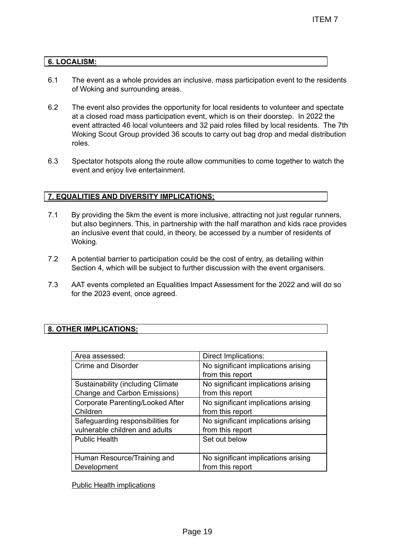### **6. LOCALISM:**

- 6.1 The event as a whole provides an inclusive, mass participation event to the residents of Woking and surrounding areas.
- 6.2 The event also provides the opportunity for local residents to volunteer and spectate at a closed road mass participation event, which is on their doorstep. In 2022 the event attracted 46 local volunteers and 32 paid roles filled by local residents. The 7th Woking Scout Group provided 36 scouts to carry out bag drop and medal distribution roles.
- 6.3 Spectator hotspots along the route allow communities to come together to watch the event and enjoy live entertainment.

### **7. EQUALITIES AND DIVERSITY IMPLICATIONS:**

- 7.1 By providing the 5km the event is more inclusive, attracting not just regular runners, but also beginners. This, in partnership with the half marathon and kids race provides an inclusive event that could, in theory, be accessed by a number of residents of Woking.
- 7.2 A potential barrier to participation could be the cost of entry, as detailing within Section 4, which will be subject to further discussion with the event organisers.
- 7.3 AAT events completed an Equalities Impact Assessment for the 2022 and will do so for the 2023 event, once agreed.

### **8. OTHER IMPLICATIONS:**

|                                                                  | <b>ITEM7</b>                                                                                                                                                                                                                                                                                                                                                                                                                                    |
|------------------------------------------------------------------|-------------------------------------------------------------------------------------------------------------------------------------------------------------------------------------------------------------------------------------------------------------------------------------------------------------------------------------------------------------------------------------------------------------------------------------------------|
|                                                                  |                                                                                                                                                                                                                                                                                                                                                                                                                                                 |
| <b>ALISM:</b>                                                    |                                                                                                                                                                                                                                                                                                                                                                                                                                                 |
| of Woking and surrounding areas.                                 | The event as a whole provides an inclusive, mass participation event to the resider                                                                                                                                                                                                                                                                                                                                                             |
| roles.                                                           | The event also provides the opportunity for local residents to volunteer and specta<br>at a closed road mass participation event, which is on their doorstep. In 2022 the<br>event attracted 46 local volunteers and 32 paid roles filled by local residents. The<br>Woking Scout Group provided 36 scouts to carry out bag drop and medal distributi                                                                                           |
| event and enjoy live entertainment.                              | Spectator hotspots along the route allow communities to come together to watch the                                                                                                                                                                                                                                                                                                                                                              |
| <u>ALITIES AND DIVERSITY IMPLICATIONS:</u>                       |                                                                                                                                                                                                                                                                                                                                                                                                                                                 |
| Woking.                                                          | By providing the 5km the event is more inclusive, attracting not just regular runners<br>but also beginners. This, in partnership with the half marathon and kids race provic<br>an inclusive event that could, in theory, be accessed by a number of residents of<br>A potential barrier to participation could be the cost of entry, as detailing within<br>Section 4, which will be subject to further discussion with the event organisers. |
| for the 2023 event, once agreed.                                 | AAT events completed an Equalities Impact Assessment for the 2022 and will do s                                                                                                                                                                                                                                                                                                                                                                 |
| <b>ER IMPLICATIONS:</b>                                          |                                                                                                                                                                                                                                                                                                                                                                                                                                                 |
|                                                                  |                                                                                                                                                                                                                                                                                                                                                                                                                                                 |
| Area assessed:                                                   | Direct Implications:                                                                                                                                                                                                                                                                                                                                                                                                                            |
| <b>Crime and Disorder</b>                                        | No significant implications arising                                                                                                                                                                                                                                                                                                                                                                                                             |
|                                                                  | from this report                                                                                                                                                                                                                                                                                                                                                                                                                                |
| Sustainability (including Climate                                | No significant implications arising                                                                                                                                                                                                                                                                                                                                                                                                             |
| Change and Carbon Emissions)<br>Corporate Parenting/Looked After | from this report<br>No significant implications arising                                                                                                                                                                                                                                                                                                                                                                                         |
| Children                                                         | from this report                                                                                                                                                                                                                                                                                                                                                                                                                                |
| Safeguarding responsibilities for                                | No significant implications arising                                                                                                                                                                                                                                                                                                                                                                                                             |
| vulnerable children and adults                                   | from this report                                                                                                                                                                                                                                                                                                                                                                                                                                |
| <b>Public Health</b>                                             | Set out below                                                                                                                                                                                                                                                                                                                                                                                                                                   |
| Human Resource/Training and<br>Development                       | No significant implications arising<br>from this report                                                                                                                                                                                                                                                                                                                                                                                         |
| <b>Public Health implications</b>                                |                                                                                                                                                                                                                                                                                                                                                                                                                                                 |
|                                                                  |                                                                                                                                                                                                                                                                                                                                                                                                                                                 |
|                                                                  | Page 19                                                                                                                                                                                                                                                                                                                                                                                                                                         |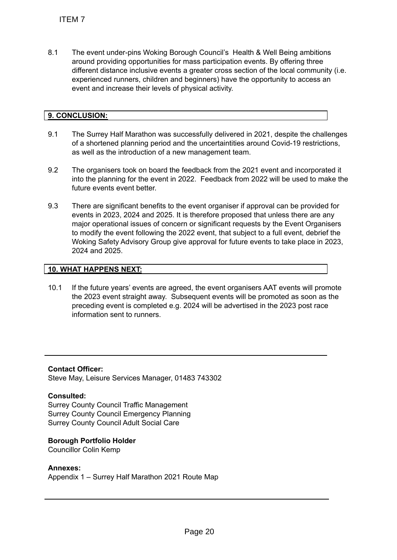8.1 The event under-pins Woking Borough Council's Health & Well Being ambitions around providing opportunities for mass participation events. By offering three different distance inclusive events a greater cross section of the local community (i.e. experienced runners, children and beginners) have the opportunity to access an event and increase their levels of physical activity.

# **9. CONCLUSION:**

- 9.1 The Surrey Half Marathon was successfully delivered in 2021, despite the challenges of a shortened planning period and the uncertaintities around Covid-19 restrictions, as well as the introduction of a new management team.
- 9.2 The organisers took on board the feedback from the 2021 event and incorporated it into the planning for the event in 2022. Feedback from 2022 will be used to make the future events event better.
- 9.3 There are significant benefits to the event organiser if approval can be provided for events in 2023, 2024 and 2025. It is therefore proposed that unless there are any major operational issues of concern or significant requests by the Event Organisers to modify the event following the 2022 event, that subject to a full event, debrief the Woking Safety Advisory Group give approval for future events to take place in 2023, 2024 and 2025. ITEM 7<br>
The event under-pins Woking Borough Courand providing opportunities for mass part<br>
different distance inclusive events a greater<br>
experienced nunners, children and beginner<br>
event and increase their levels of physi

# **10. WHAT HAPPENS NEXT:**

10.1 If the future years' events are agreed, the event organisers AAT events will promote the 2023 event straight away. Subsequent events will be promoted as soon as the preceding event is completed e.g. 2024 will be advertised in the 2023 post race information sent to runners.

**Contact Officer:** Steve May, Leisure Services Manager, 01483 743302

# **Consulted:**

Surrey County Council Traffic Management Surrey County Council Emergency Planning Surrey County Council Adult Social Care

### **Borough Portfolio Holder**

Councillor Colin Kemp

### **Annexes:**

Appendix 1 – Surrey Half Marathon 2021 Route Map